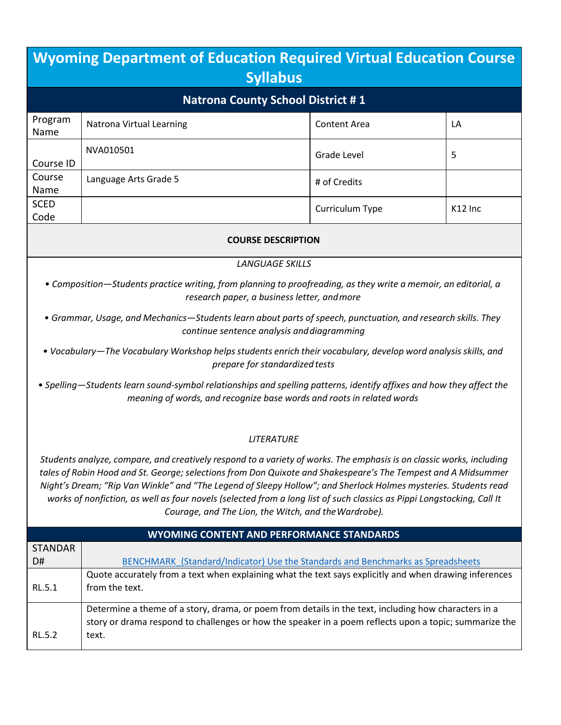## **Wyoming Department of Education Required Virtual Education Course Syllabus Natrona County School District # 1** Program Name Natrona Virtual Learning Content Area LA Course ID NVA010501 Since the set of the set of the set of the set of the set of the set of the set of the set of the set of the set of the set of the set of the set of the set of the set of the set of the set of the set of the set Course Name Language Arts Grade 5  $\frac{1}{4}$  of Credits **SCED** SCLD  $\bigcup_{\text{Code}}$  K12 Inc **COURSE DESCRIPTION**

## *LANGUAGE SKILLS*

- *• Composition—Students practice writing, from planning to proofreading, as they write a memoir, an editorial, a research paper, a business letter, andmore*
- *• Grammar, Usage, and Mechanics—Students learn about parts of speech, punctuation, and research skills. They continue sentence analysis anddiagramming*
- *• Vocabulary—The Vocabulary Workshop helps students enrich their vocabulary, develop word analysis skills, and prepare for standardized tests*
- *• Spelling—Students learn sound-symbol relationships and spelling patterns, identify affixes and how they affect the meaning of words, and recognize base words and roots in related words*

## *LITERATURE*

Students analyze, compare, and creatively respond to a variety of works. The emphasis is on classic works, including tales of Robin Hood and St. George; selections from Don Quixote and Shakespeare's The Tempest and A Midsummer Night's Dream; "Rip Van Winkle" and "The Legend of Sleepy Hollow"; and Sherlock Holmes mysteries. Students read *works of nonfiction, as well as four novels (selected from a long list of such classics as Pippi Longstocking, Call It Courage, and The Lion, the Witch, and theWardrobe).*

| <b>WYOMING CONTENT AND PERFORMANCE STANDARDS</b> |                                                                                                        |  |
|--------------------------------------------------|--------------------------------------------------------------------------------------------------------|--|
| <b>STANDAR</b>                                   |                                                                                                        |  |
| D#                                               | BENCHMARK (Standard/Indicator) Use the Standards and Benchmarks as Spreadsheets                        |  |
|                                                  | Quote accurately from a text when explaining what the text says explicitly and when drawing inferences |  |
| RL 5.1                                           | from the text.                                                                                         |  |
|                                                  | Determine a theme of a story, drama, or poem from details in the text, including how characters in a   |  |
|                                                  | story or drama respond to challenges or how the speaker in a poem reflects upon a topic; summarize the |  |
| RL 5.2                                           | text.                                                                                                  |  |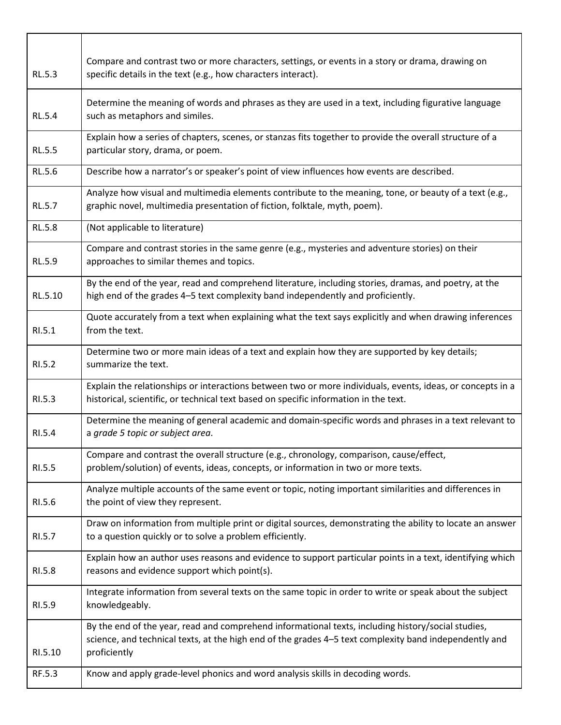| RL.5.3        | Compare and contrast two or more characters, settings, or events in a story or drama, drawing on<br>specific details in the text (e.g., how characters interact).                                                            |
|---------------|------------------------------------------------------------------------------------------------------------------------------------------------------------------------------------------------------------------------------|
| <b>RL.5.4</b> | Determine the meaning of words and phrases as they are used in a text, including figurative language<br>such as metaphors and similes.                                                                                       |
| <b>RL.5.5</b> | Explain how a series of chapters, scenes, or stanzas fits together to provide the overall structure of a<br>particular story, drama, or poem.                                                                                |
| <b>RL.5.6</b> | Describe how a narrator's or speaker's point of view influences how events are described.                                                                                                                                    |
| RL.5.7        | Analyze how visual and multimedia elements contribute to the meaning, tone, or beauty of a text (e.g.,<br>graphic novel, multimedia presentation of fiction, folktale, myth, poem).                                          |
| <b>RL.5.8</b> | (Not applicable to literature)                                                                                                                                                                                               |
| RL.5.9        | Compare and contrast stories in the same genre (e.g., mysteries and adventure stories) on their<br>approaches to similar themes and topics.                                                                                  |
| RL.5.10       | By the end of the year, read and comprehend literature, including stories, dramas, and poetry, at the<br>high end of the grades 4-5 text complexity band independently and proficiently.                                     |
| RI.5.1        | Quote accurately from a text when explaining what the text says explicitly and when drawing inferences<br>from the text.                                                                                                     |
| RI.5.2        | Determine two or more main ideas of a text and explain how they are supported by key details;<br>summarize the text.                                                                                                         |
| RI.5.3        | Explain the relationships or interactions between two or more individuals, events, ideas, or concepts in a<br>historical, scientific, or technical text based on specific information in the text.                           |
| RI.5.4        | Determine the meaning of general academic and domain-specific words and phrases in a text relevant to<br>a grade 5 topic or subject area.                                                                                    |
| RI.5.5        | Compare and contrast the overall structure (e.g., chronology, comparison, cause/effect,<br>problem/solution) of events, ideas, concepts, or information in two or more texts.                                                |
| RI.5.6        | Analyze multiple accounts of the same event or topic, noting important similarities and differences in<br>the point of view they represent.                                                                                  |
| RI.5.7        | Draw on information from multiple print or digital sources, demonstrating the ability to locate an answer<br>to a question quickly or to solve a problem efficiently.                                                        |
| RI.5.8        | Explain how an author uses reasons and evidence to support particular points in a text, identifying which<br>reasons and evidence support which point(s).                                                                    |
| RI.5.9        | Integrate information from several texts on the same topic in order to write or speak about the subject<br>knowledgeably.                                                                                                    |
| RI.5.10       | By the end of the year, read and comprehend informational texts, including history/social studies,<br>science, and technical texts, at the high end of the grades 4-5 text complexity band independently and<br>proficiently |
| RF.5.3        | Know and apply grade-level phonics and word analysis skills in decoding words.                                                                                                                                               |

 $\overline{1}$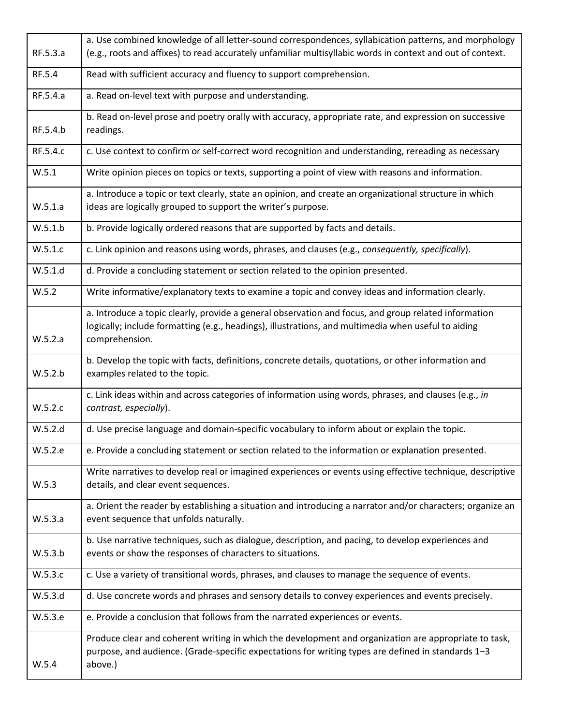|          | a. Use combined knowledge of all letter-sound correspondences, syllabication patterns, and morphology                                                                                                                         |  |  |
|----------|-------------------------------------------------------------------------------------------------------------------------------------------------------------------------------------------------------------------------------|--|--|
| RF.5.3.a | (e.g., roots and affixes) to read accurately unfamiliar multisyllabic words in context and out of context.                                                                                                                    |  |  |
| RF.5.4   | Read with sufficient accuracy and fluency to support comprehension.                                                                                                                                                           |  |  |
| RF.5.4.a | a. Read on-level text with purpose and understanding.                                                                                                                                                                         |  |  |
| RF.5.4.b | b. Read on-level prose and poetry orally with accuracy, appropriate rate, and expression on successive<br>readings.                                                                                                           |  |  |
| RF.5.4.c | c. Use context to confirm or self-correct word recognition and understanding, rereading as necessary                                                                                                                          |  |  |
| W.5.1    | Write opinion pieces on topics or texts, supporting a point of view with reasons and information.                                                                                                                             |  |  |
|          | a. Introduce a topic or text clearly, state an opinion, and create an organizational structure in which                                                                                                                       |  |  |
| W.5.1.a  | ideas are logically grouped to support the writer's purpose.                                                                                                                                                                  |  |  |
| W.5.1.b  | b. Provide logically ordered reasons that are supported by facts and details.                                                                                                                                                 |  |  |
| W.5.1.c  | c. Link opinion and reasons using words, phrases, and clauses (e.g., consequently, specifically).                                                                                                                             |  |  |
| W.5.1.d  | d. Provide a concluding statement or section related to the opinion presented.                                                                                                                                                |  |  |
| W.5.2    | Write informative/explanatory texts to examine a topic and convey ideas and information clearly.                                                                                                                              |  |  |
| W.5.2.a  | a. Introduce a topic clearly, provide a general observation and focus, and group related information<br>logically; include formatting (e.g., headings), illustrations, and multimedia when useful to aiding<br>comprehension. |  |  |
| W.5.2.b  | b. Develop the topic with facts, definitions, concrete details, quotations, or other information and<br>examples related to the topic.                                                                                        |  |  |
| W.5.2.c  | c. Link ideas within and across categories of information using words, phrases, and clauses (e.g., in<br>contrast, especially).                                                                                               |  |  |
| W.5.2.d  | d. Use precise language and domain-specific vocabulary to inform about or explain the topic.                                                                                                                                  |  |  |
| W.5.2.e  | e. Provide a concluding statement or section related to the information or explanation presented.                                                                                                                             |  |  |
| W.5.3    | Write narratives to develop real or imagined experiences or events using effective technique, descriptive<br>details, and clear event sequences.                                                                              |  |  |
| W.5.3.a  | a. Orient the reader by establishing a situation and introducing a narrator and/or characters; organize an<br>event sequence that unfolds naturally.                                                                          |  |  |
| W.5.3.b  | b. Use narrative techniques, such as dialogue, description, and pacing, to develop experiences and<br>events or show the responses of characters to situations.                                                               |  |  |
| W.5.3.c  | c. Use a variety of transitional words, phrases, and clauses to manage the sequence of events.                                                                                                                                |  |  |
| W.5.3.d  | d. Use concrete words and phrases and sensory details to convey experiences and events precisely.                                                                                                                             |  |  |
| W.5.3.e  | e. Provide a conclusion that follows from the narrated experiences or events.                                                                                                                                                 |  |  |
| W.5.4    | Produce clear and coherent writing in which the development and organization are appropriate to task,<br>purpose, and audience. (Grade-specific expectations for writing types are defined in standards 1-3<br>above.)        |  |  |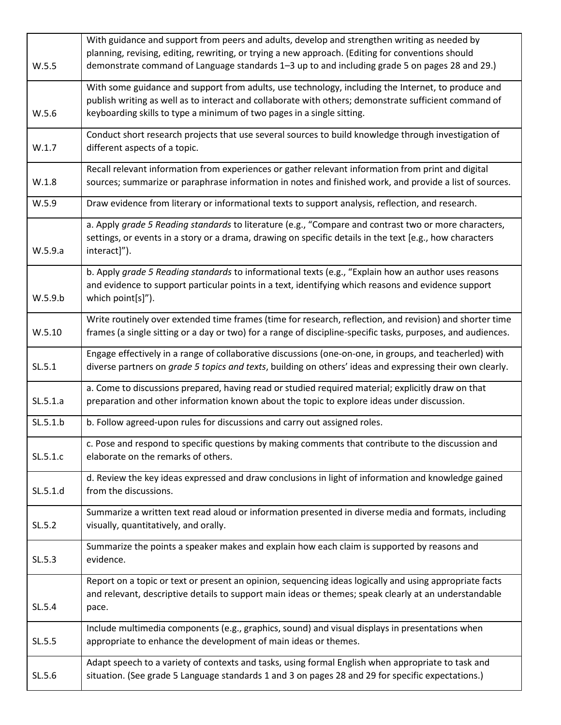|          | With guidance and support from peers and adults, develop and strengthen writing as needed by                             |
|----------|--------------------------------------------------------------------------------------------------------------------------|
|          | planning, revising, editing, rewriting, or trying a new approach. (Editing for conventions should                        |
| W.5.5    | demonstrate command of Language standards 1–3 up to and including grade 5 on pages 28 and 29.)                           |
|          | With some guidance and support from adults, use technology, including the Internet, to produce and                       |
|          | publish writing as well as to interact and collaborate with others; demonstrate sufficient command of                    |
| W.5.6    | keyboarding skills to type a minimum of two pages in a single sitting.                                                   |
|          | Conduct short research projects that use several sources to build knowledge through investigation of                     |
| W.1.7    | different aspects of a topic.                                                                                            |
|          | Recall relevant information from experiences or gather relevant information from print and digital                       |
| W.1.8    | sources; summarize or paraphrase information in notes and finished work, and provide a list of sources.                  |
| W.5.9    | Draw evidence from literary or informational texts to support analysis, reflection, and research.                        |
|          | a. Apply grade 5 Reading standards to literature (e.g., "Compare and contrast two or more characters,                    |
| W.5.9.a  | settings, or events in a story or a drama, drawing on specific details in the text [e.g., how characters<br>interact]"). |
|          | b. Apply grade 5 Reading standards to informational texts (e.g., "Explain how an author uses reasons                     |
|          | and evidence to support particular points in a text, identifying which reasons and evidence support                      |
| W.5.9.b  | which point[s]").                                                                                                        |
|          | Write routinely over extended time frames (time for research, reflection, and revision) and shorter time                 |
| W.5.10   | frames (a single sitting or a day or two) for a range of discipline-specific tasks, purposes, and audiences.             |
|          |                                                                                                                          |
|          | Engage effectively in a range of collaborative discussions (one-on-one, in groups, and teacherled) with                  |
| SL.5.1   | diverse partners on grade 5 topics and texts, building on others' ideas and expressing their own clearly.                |
|          | a. Come to discussions prepared, having read or studied required material; explicitly draw on that                       |
| SL.5.1.a | preparation and other information known about the topic to explore ideas under discussion.                               |
| SL.5.1.b | b. Follow agreed-upon rules for discussions and carry out assigned roles.                                                |
|          | c. Pose and respond to specific questions by making comments that contribute to the discussion and                       |
| SL.5.1.c | elaborate on the remarks of others.                                                                                      |
|          | d. Review the key ideas expressed and draw conclusions in light of information and knowledge gained                      |
| SL.5.1.d | from the discussions.                                                                                                    |
|          |                                                                                                                          |
|          | Summarize a written text read aloud or information presented in diverse media and formats, including                     |
| SL.5.2   | visually, quantitatively, and orally.                                                                                    |
|          | Summarize the points a speaker makes and explain how each claim is supported by reasons and                              |
| SL.5.3   | evidence.                                                                                                                |
|          | Report on a topic or text or present an opinion, sequencing ideas logically and using appropriate facts                  |
|          | and relevant, descriptive details to support main ideas or themes; speak clearly at an understandable                    |
| SL.5.4   | pace.                                                                                                                    |
|          |                                                                                                                          |
|          | Include multimedia components (e.g., graphics, sound) and visual displays in presentations when                          |
| SL.5.5   | appropriate to enhance the development of main ideas or themes.                                                          |
|          | Adapt speech to a variety of contexts and tasks, using formal English when appropriate to task and                       |
| SL.5.6   | situation. (See grade 5 Language standards 1 and 3 on pages 28 and 29 for specific expectations.)                        |
|          |                                                                                                                          |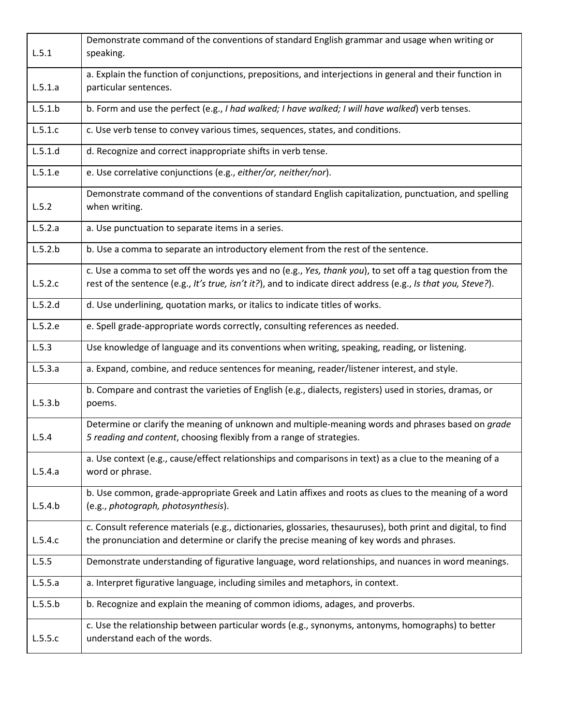|         | Demonstrate command of the conventions of standard English grammar and usage when writing or                                                                                                                                |  |  |
|---------|-----------------------------------------------------------------------------------------------------------------------------------------------------------------------------------------------------------------------------|--|--|
| L.5.1   | speaking.                                                                                                                                                                                                                   |  |  |
| L.5.1.a | a. Explain the function of conjunctions, prepositions, and interjections in general and their function in<br>particular sentences.                                                                                          |  |  |
| L.5.1.b | b. Form and use the perfect (e.g., I had walked; I have walked; I will have walked) verb tenses.                                                                                                                            |  |  |
| L.5.1.c | c. Use verb tense to convey various times, sequences, states, and conditions.                                                                                                                                               |  |  |
| L.5.1.d | d. Recognize and correct inappropriate shifts in verb tense.                                                                                                                                                                |  |  |
| L.5.1.e | e. Use correlative conjunctions (e.g., either/or, neither/nor).                                                                                                                                                             |  |  |
| L.5.2   | Demonstrate command of the conventions of standard English capitalization, punctuation, and spelling<br>when writing.                                                                                                       |  |  |
| L.5.2.a | a. Use punctuation to separate items in a series.                                                                                                                                                                           |  |  |
| L.5.2.b | b. Use a comma to separate an introductory element from the rest of the sentence.                                                                                                                                           |  |  |
| L.5.2.c | c. Use a comma to set off the words yes and no (e.g., Yes, thank you), to set off a tag question from the<br>rest of the sentence (e.g., It's true, isn't it?), and to indicate direct address (e.g., Is that you, Steve?). |  |  |
| L.5.2.d | d. Use underlining, quotation marks, or italics to indicate titles of works.                                                                                                                                                |  |  |
| L.5.2.e | e. Spell grade-appropriate words correctly, consulting references as needed.                                                                                                                                                |  |  |
| L.5.3   | Use knowledge of language and its conventions when writing, speaking, reading, or listening.                                                                                                                                |  |  |
| L.5.3.a | a. Expand, combine, and reduce sentences for meaning, reader/listener interest, and style.                                                                                                                                  |  |  |
| L.5.3.b | b. Compare and contrast the varieties of English (e.g., dialects, registers) used in stories, dramas, or<br>poems.                                                                                                          |  |  |
| L.5.4   | Determine or clarify the meaning of unknown and multiple-meaning words and phrases based on grade<br>5 reading and content, choosing flexibly from a range of strategies.                                                   |  |  |
| L.5.4.a | a. Use context (e.g., cause/effect relationships and comparisons in text) as a clue to the meaning of a<br>word or phrase.                                                                                                  |  |  |
| L.5.4.b | b. Use common, grade-appropriate Greek and Latin affixes and roots as clues to the meaning of a word<br>(e.g., photograph, photosynthesis).                                                                                 |  |  |
| L.5.4.c | c. Consult reference materials (e.g., dictionaries, glossaries, thesauruses), both print and digital, to find<br>the pronunciation and determine or clarify the precise meaning of key words and phrases.                   |  |  |
| L.5.5   | Demonstrate understanding of figurative language, word relationships, and nuances in word meanings.                                                                                                                         |  |  |
| L.5.5.a | a. Interpret figurative language, including similes and metaphors, in context.                                                                                                                                              |  |  |
| L.5.5.b | b. Recognize and explain the meaning of common idioms, adages, and proverbs.                                                                                                                                                |  |  |
| L.5.5.c | c. Use the relationship between particular words (e.g., synonyms, antonyms, homographs) to better<br>understand each of the words.                                                                                          |  |  |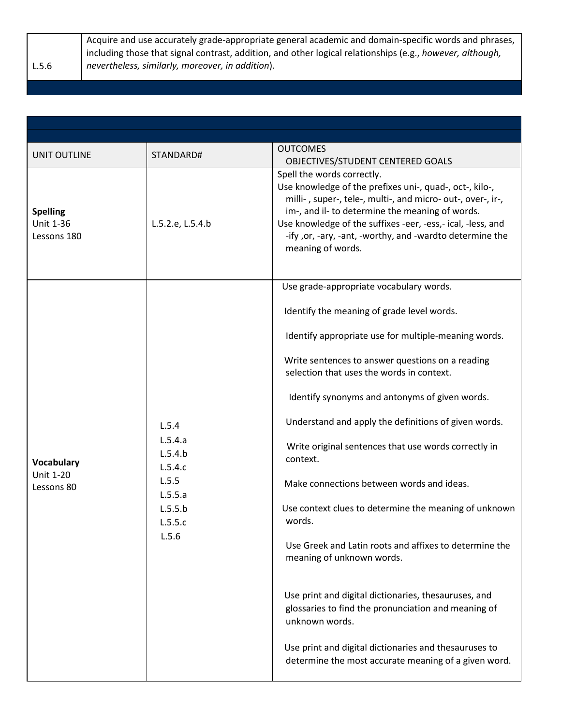L.5.6 Acquire and use accurately grade-appropriate general academic and domain-specific words and phrases, including those that signal contrast, addition, and other logical relationships (e.g., *however, although, nevertheless, similarly, moreover, in addition*).

| <b>UNIT OUTLINE</b>                                | STANDARD#                                                                                 | <b>OUTCOMES</b><br>OBJECTIVES/STUDENT CENTERED GOALS                                                                                                                                                                                                                                                                                                     |
|----------------------------------------------------|-------------------------------------------------------------------------------------------|----------------------------------------------------------------------------------------------------------------------------------------------------------------------------------------------------------------------------------------------------------------------------------------------------------------------------------------------------------|
| <b>Spelling</b><br><b>Unit 1-36</b><br>Lessons 180 | L.5.2.e, L.5.4.b                                                                          | Spell the words correctly.<br>Use knowledge of the prefixes uni-, quad-, oct-, kilo-,<br>milli-, super-, tele-, multi-, and micro- out-, over-, ir-,<br>im-, and il- to determine the meaning of words.<br>Use knowledge of the suffixes -eer, -ess,- ical, -less, and<br>-ify , or, -ary, -ant, -worthy, and -wardto determine the<br>meaning of words. |
|                                                    |                                                                                           | Use grade-appropriate vocabulary words.                                                                                                                                                                                                                                                                                                                  |
|                                                    |                                                                                           | Identify the meaning of grade level words.                                                                                                                                                                                                                                                                                                               |
|                                                    |                                                                                           | Identify appropriate use for multiple-meaning words.                                                                                                                                                                                                                                                                                                     |
|                                                    |                                                                                           | Write sentences to answer questions on a reading<br>selection that uses the words in context.                                                                                                                                                                                                                                                            |
|                                                    |                                                                                           | Identify synonyms and antonyms of given words.                                                                                                                                                                                                                                                                                                           |
|                                                    | L.5.4<br>L.5.4.a<br>L.5.4.b<br>L.5.4.c<br>L.5.5<br>L.5.5.a<br>L.5.5.b<br>L.5.5.c<br>L.5.6 | Understand and apply the definitions of given words.                                                                                                                                                                                                                                                                                                     |
| <b>Vocabulary</b>                                  |                                                                                           | Write original sentences that use words correctly in<br>context.                                                                                                                                                                                                                                                                                         |
| <b>Unit 1-20</b><br>Lessons 80                     |                                                                                           | Make connections between words and ideas.                                                                                                                                                                                                                                                                                                                |
|                                                    |                                                                                           | Use context clues to determine the meaning of unknown<br>words.                                                                                                                                                                                                                                                                                          |
|                                                    |                                                                                           | Use Greek and Latin roots and affixes to determine the<br>meaning of unknown words.                                                                                                                                                                                                                                                                      |
|                                                    |                                                                                           | Use print and digital dictionaries, thesauruses, and<br>glossaries to find the pronunciation and meaning of<br>unknown words.                                                                                                                                                                                                                            |
|                                                    |                                                                                           | Use print and digital dictionaries and thesauruses to<br>determine the most accurate meaning of a given word.                                                                                                                                                                                                                                            |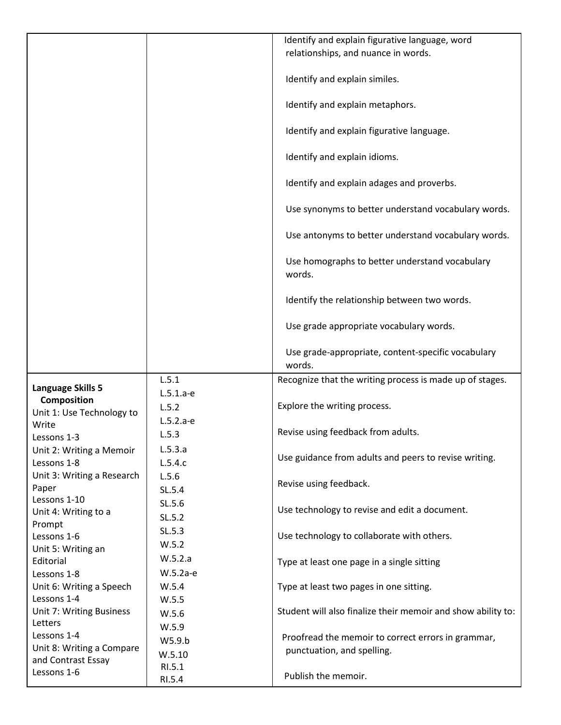|                                           |             | Identify and explain figurative language, word               |
|-------------------------------------------|-------------|--------------------------------------------------------------|
|                                           |             | relationships, and nuance in words.                          |
|                                           |             |                                                              |
|                                           |             | Identify and explain similes.                                |
|                                           |             | Identify and explain metaphors.                              |
|                                           |             | Identify and explain figurative language.                    |
|                                           |             | Identify and explain idioms.                                 |
|                                           |             | Identify and explain adages and proverbs.                    |
|                                           |             | Use synonyms to better understand vocabulary words.          |
|                                           |             | Use antonyms to better understand vocabulary words.          |
|                                           |             | Use homographs to better understand vocabulary<br>words.     |
|                                           |             | Identify the relationship between two words.                 |
|                                           |             | Use grade appropriate vocabulary words.                      |
|                                           |             | Use grade-appropriate, content-specific vocabulary<br>words. |
|                                           | L.5.1       | Recognize that the writing process is made up of stages.     |
| Language Skills 5                         | $L.5.1.a-e$ |                                                              |
| Composition                               | L.5.2       | Explore the writing process.                                 |
| Unit 1: Use Technology to                 | $L.5.2.a-e$ |                                                              |
| Write                                     | L.5.3       | Revise using feedback from adults.                           |
| Lessons 1-3                               |             |                                                              |
| Unit 2: Writing a Memoir                  | L.5.3.a     | Use guidance from adults and peers to revise writing.        |
| Lessons 1-8<br>Unit 3: Writing a Research | L.5.4.c     |                                                              |
| Paper                                     | L.5.6       | Revise using feedback.                                       |
| Lessons 1-10                              | SL.5.4      |                                                              |
| Unit 4: Writing to a                      | SL.5.6      | Use technology to revise and edit a document.                |
| Prompt                                    | SL.5.2      |                                                              |
| Lessons 1-6                               | SL.5.3      | Use technology to collaborate with others.                   |
| Unit 5: Writing an                        | W.5.2       |                                                              |
| Editorial                                 | W.5.2.a     | Type at least one page in a single sitting                   |
| Lessons 1-8                               | W.5.2a-e    |                                                              |
| Unit 6: Writing a Speech                  | W.5.4       | Type at least two pages in one sitting.                      |
| Lessons 1-4                               | W.5.5       |                                                              |
| Unit 7: Writing Business                  | W.5.6       | Student will also finalize their memoir and show ability to: |
| Letters<br>Lessons 1-4                    | W.5.9       |                                                              |
| Unit 8: Writing a Compare                 | W5.9.b      | Proofread the memoir to correct errors in grammar,           |
| and Contrast Essay                        | W.5.10      | punctuation, and spelling.                                   |
| Lessons 1-6                               | RI.5.1      |                                                              |
|                                           | RI.5.4      | Publish the memoir.                                          |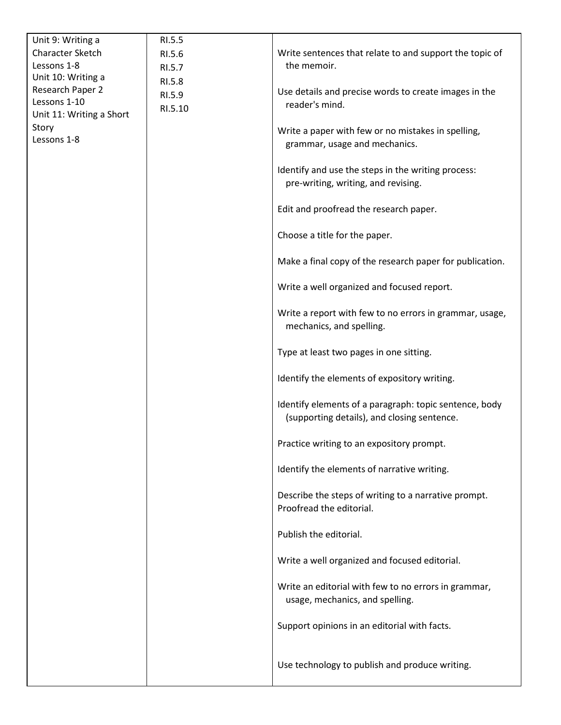| Unit 9: Writing a                 | RI.5.5           |                                                                                                       |
|-----------------------------------|------------------|-------------------------------------------------------------------------------------------------------|
| <b>Character Sketch</b>           | RI.5.6           | Write sentences that relate to and support the topic of                                               |
| Lessons 1-8<br>Unit 10: Writing a | RI.5.7           | the memoir.                                                                                           |
| Research Paper 2                  | RI.5.8<br>RI.5.9 | Use details and precise words to create images in the                                                 |
| Lessons 1-10                      | RI.5.10          | reader's mind.                                                                                        |
| Unit 11: Writing a Short          |                  |                                                                                                       |
| Story<br>Lessons 1-8              |                  | Write a paper with few or no mistakes in spelling,<br>grammar, usage and mechanics.                   |
|                                   |                  |                                                                                                       |
|                                   |                  | Identify and use the steps in the writing process:<br>pre-writing, writing, and revising.             |
|                                   |                  | Edit and proofread the research paper.                                                                |
|                                   |                  | Choose a title for the paper.                                                                         |
|                                   |                  | Make a final copy of the research paper for publication.                                              |
|                                   |                  | Write a well organized and focused report.                                                            |
|                                   |                  | Write a report with few to no errors in grammar, usage,<br>mechanics, and spelling.                   |
|                                   |                  | Type at least two pages in one sitting.                                                               |
|                                   |                  | Identify the elements of expository writing.                                                          |
|                                   |                  | Identify elements of a paragraph: topic sentence, body<br>(supporting details), and closing sentence. |
|                                   |                  | Practice writing to an expository prompt.                                                             |
|                                   |                  | Identify the elements of narrative writing.                                                           |
|                                   |                  | Describe the steps of writing to a narrative prompt.<br>Proofread the editorial.                      |
|                                   |                  | Publish the editorial.                                                                                |
|                                   |                  | Write a well organized and focused editorial.                                                         |
|                                   |                  | Write an editorial with few to no errors in grammar,<br>usage, mechanics, and spelling.               |
|                                   |                  | Support opinions in an editorial with facts.                                                          |
|                                   |                  | Use technology to publish and produce writing.                                                        |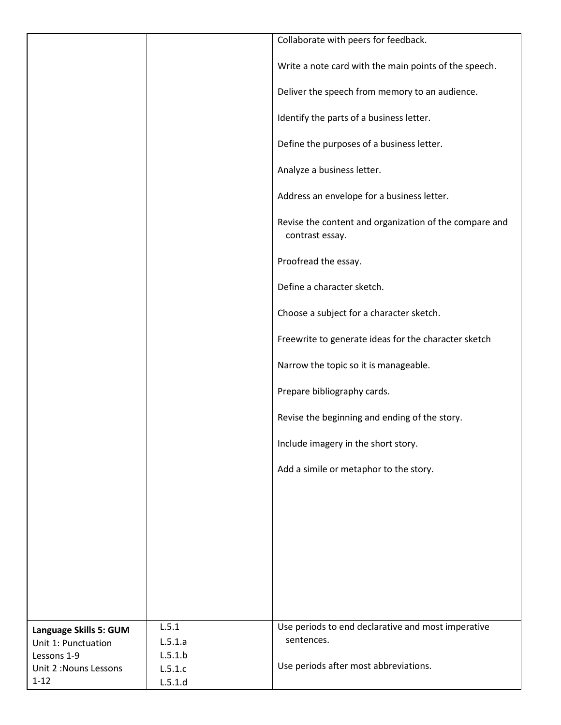|                        |         | Collaborate with peers for feedback.                                      |
|------------------------|---------|---------------------------------------------------------------------------|
|                        |         | Write a note card with the main points of the speech.                     |
|                        |         | Deliver the speech from memory to an audience.                            |
|                        |         | Identify the parts of a business letter.                                  |
|                        |         | Define the purposes of a business letter.                                 |
|                        |         | Analyze a business letter.                                                |
|                        |         | Address an envelope for a business letter.                                |
|                        |         | Revise the content and organization of the compare and<br>contrast essay. |
|                        |         | Proofread the essay.                                                      |
|                        |         | Define a character sketch.                                                |
|                        |         | Choose a subject for a character sketch.                                  |
|                        |         | Freewrite to generate ideas for the character sketch                      |
|                        |         | Narrow the topic so it is manageable.                                     |
|                        |         | Prepare bibliography cards.                                               |
|                        |         | Revise the beginning and ending of the story.                             |
|                        |         | Include imagery in the short story.                                       |
|                        |         | Add a simile or metaphor to the story.                                    |
|                        |         |                                                                           |
|                        |         |                                                                           |
|                        |         |                                                                           |
|                        |         |                                                                           |
|                        |         |                                                                           |
| Language Skills 5: GUM | L.5.1   | Use periods to end declarative and most imperative                        |
| Unit 1: Punctuation    | L.5.1.a | sentences.                                                                |
| Lessons 1-9            | L.5.1.b |                                                                           |
| Unit 2: Nouns Lessons  | L.5.1.c | Use periods after most abbreviations.                                     |
| $1 - 12$               | L.5.1.d |                                                                           |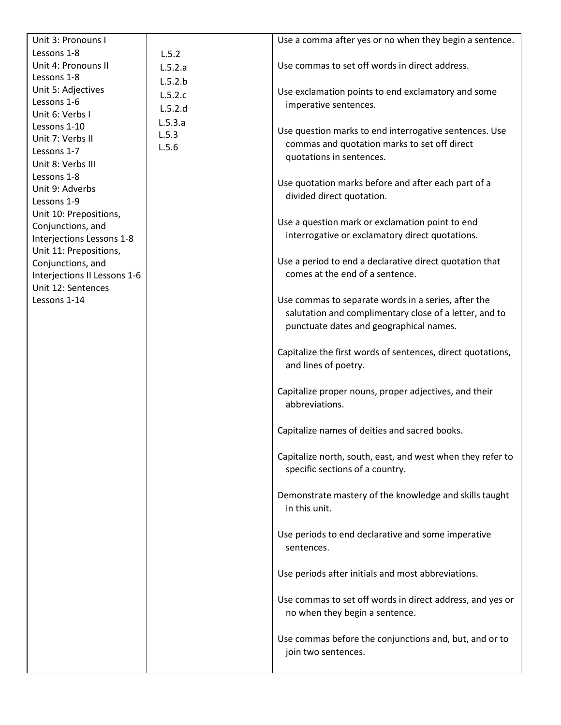| Unit 3: Pronouns I           |         | Use a comma after yes or no when they begin a sentence.                          |
|------------------------------|---------|----------------------------------------------------------------------------------|
| Lessons 1-8                  | L.5.2   |                                                                                  |
| Unit 4: Pronouns II          | L.5.2.a | Use commas to set off words in direct address.                                   |
| Lessons 1-8                  | L.5.2.b |                                                                                  |
| Unit 5: Adjectives           | L.5.2.c | Use exclamation points to end exclamatory and some                               |
| Lessons 1-6                  | L.5.2.d | imperative sentences.                                                            |
| Unit 6: Verbs I              |         |                                                                                  |
| Lessons 1-10                 | L.5.3.a | Use question marks to end interrogative sentences. Use                           |
| Unit 7: Verbs II             | L.5.3   | commas and quotation marks to set off direct                                     |
| Lessons 1-7                  | L.5.6   | quotations in sentences.                                                         |
| Unit 8: Verbs III            |         |                                                                                  |
| Lessons 1-8                  |         |                                                                                  |
| Unit 9: Adverbs              |         | Use quotation marks before and after each part of a<br>divided direct quotation. |
| Lessons 1-9                  |         |                                                                                  |
| Unit 10: Prepositions,       |         |                                                                                  |
| Conjunctions, and            |         | Use a question mark or exclamation point to end                                  |
| Interjections Lessons 1-8    |         | interrogative or exclamatory direct quotations.                                  |
| Unit 11: Prepositions,       |         |                                                                                  |
| Conjunctions, and            |         | Use a period to end a declarative direct quotation that                          |
| Interjections II Lessons 1-6 |         | comes at the end of a sentence.                                                  |
| Unit 12: Sentences           |         |                                                                                  |
| Lessons 1-14                 |         | Use commas to separate words in a series, after the                              |
|                              |         | salutation and complimentary close of a letter, and to                           |
|                              |         | punctuate dates and geographical names.                                          |
|                              |         |                                                                                  |
|                              |         | Capitalize the first words of sentences, direct quotations,                      |
|                              |         | and lines of poetry.                                                             |
|                              |         |                                                                                  |
|                              |         | Capitalize proper nouns, proper adjectives, and their                            |
|                              |         | abbreviations.                                                                   |
|                              |         |                                                                                  |
|                              |         | Capitalize names of deities and sacred books.                                    |
|                              |         |                                                                                  |
|                              |         | Capitalize north, south, east, and west when they refer to                       |
|                              |         | specific sections of a country.                                                  |
|                              |         |                                                                                  |
|                              |         | Demonstrate mastery of the knowledge and skills taught                           |
|                              |         | in this unit.                                                                    |
|                              |         |                                                                                  |
|                              |         | Use periods to end declarative and some imperative                               |
|                              |         | sentences.                                                                       |
|                              |         |                                                                                  |
|                              |         |                                                                                  |
|                              |         | Use periods after initials and most abbreviations.                               |
|                              |         |                                                                                  |
|                              |         | Use commas to set off words in direct address, and yes or                        |
|                              |         | no when they begin a sentence.                                                   |
|                              |         |                                                                                  |
|                              |         | Use commas before the conjunctions and, but, and or to                           |
|                              |         | join two sentences.                                                              |
|                              |         |                                                                                  |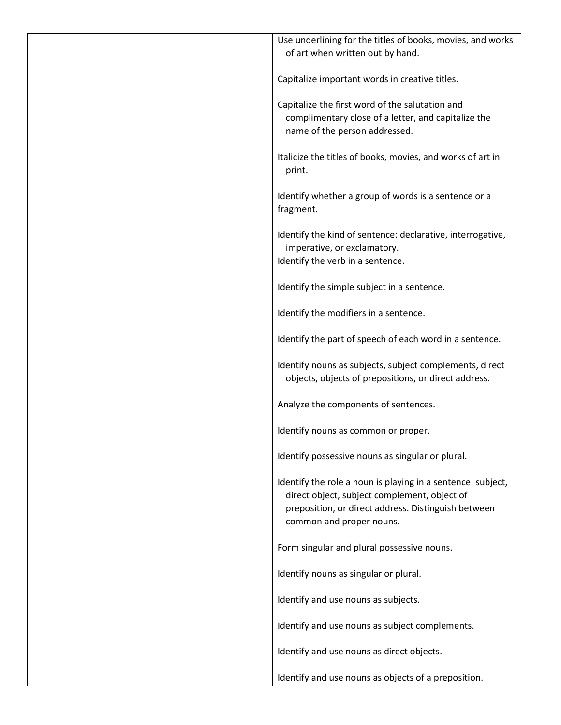| Use underlining for the titles of books, movies, and works<br>of art when written out by hand. |
|------------------------------------------------------------------------------------------------|
|                                                                                                |
| Capitalize important words in creative titles.                                                 |
| Capitalize the first word of the salutation and                                                |
| complimentary close of a letter, and capitalize the                                            |
| name of the person addressed.                                                                  |
| Italicize the titles of books, movies, and works of art in                                     |
| print.                                                                                         |
| Identify whether a group of words is a sentence or a                                           |
| fragment.                                                                                      |
|                                                                                                |
| Identify the kind of sentence: declarative, interrogative,<br>imperative, or exclamatory.      |
| Identify the verb in a sentence.                                                               |
|                                                                                                |
| Identify the simple subject in a sentence.                                                     |
| Identify the modifiers in a sentence.                                                          |
| Identify the part of speech of each word in a sentence.                                        |
| Identify nouns as subjects, subject complements, direct                                        |
| objects, objects of prepositions, or direct address.                                           |
| Analyze the components of sentences.                                                           |
| Identify nouns as common or proper.                                                            |
| Identify possessive nouns as singular or plural.                                               |
| Identify the role a noun is playing in a sentence: subject,                                    |
| direct object, subject complement, object of                                                   |
| preposition, or direct address. Distinguish between                                            |
| common and proper nouns.                                                                       |
| Form singular and plural possessive nouns.                                                     |
| Identify nouns as singular or plural.                                                          |
|                                                                                                |
| Identify and use nouns as subjects.                                                            |
| Identify and use nouns as subject complements.                                                 |
| Identify and use nouns as direct objects.                                                      |
| Identify and use nouns as objects of a preposition.                                            |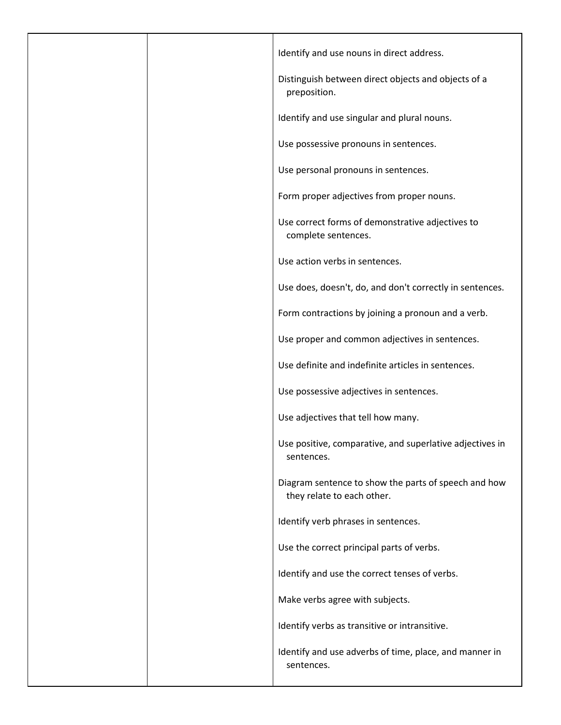| Identify and use nouns in direct address.                                          |
|------------------------------------------------------------------------------------|
| Distinguish between direct objects and objects of a<br>preposition.                |
| Identify and use singular and plural nouns.                                        |
| Use possessive pronouns in sentences.                                              |
| Use personal pronouns in sentences.                                                |
| Form proper adjectives from proper nouns.                                          |
| Use correct forms of demonstrative adjectives to<br>complete sentences.            |
| Use action verbs in sentences.                                                     |
| Use does, doesn't, do, and don't correctly in sentences.                           |
| Form contractions by joining a pronoun and a verb.                                 |
| Use proper and common adjectives in sentences.                                     |
| Use definite and indefinite articles in sentences.                                 |
| Use possessive adjectives in sentences.                                            |
| Use adjectives that tell how many.                                                 |
| Use positive, comparative, and superlative adjectives in<br>sentences.             |
| Diagram sentence to show the parts of speech and how<br>they relate to each other. |
| Identify verb phrases in sentences.                                                |
| Use the correct principal parts of verbs.                                          |
| Identify and use the correct tenses of verbs.                                      |
| Make verbs agree with subjects.                                                    |
| Identify verbs as transitive or intransitive.                                      |
| Identify and use adverbs of time, place, and manner in<br>sentences.               |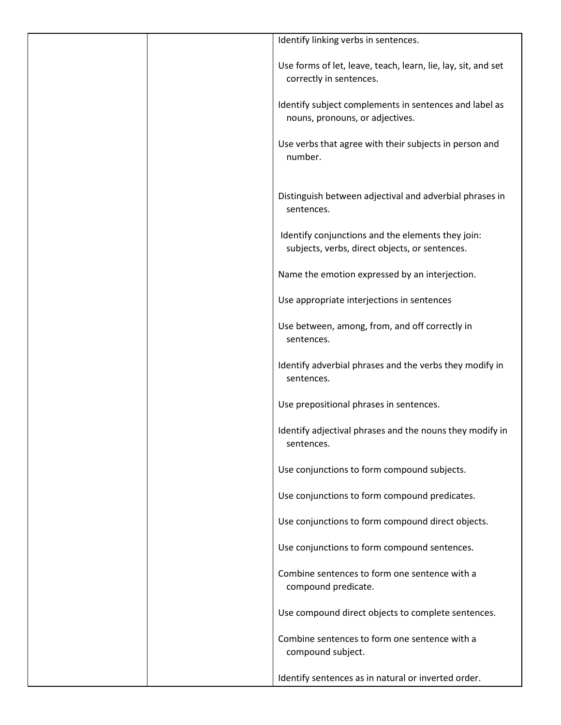| Identify linking verbs in sentences.                                                                |
|-----------------------------------------------------------------------------------------------------|
| Use forms of let, leave, teach, learn, lie, lay, sit, and set<br>correctly in sentences.            |
| Identify subject complements in sentences and label as<br>nouns, pronouns, or adjectives.           |
| Use verbs that agree with their subjects in person and<br>number.                                   |
| Distinguish between adjectival and adverbial phrases in<br>sentences.                               |
| Identify conjunctions and the elements they join:<br>subjects, verbs, direct objects, or sentences. |
| Name the emotion expressed by an interjection.                                                      |
| Use appropriate interjections in sentences                                                          |
| Use between, among, from, and off correctly in<br>sentences.                                        |
| Identify adverbial phrases and the verbs they modify in<br>sentences.                               |
| Use prepositional phrases in sentences.                                                             |
| Identify adjectival phrases and the nouns they modify in<br>sentences.                              |
| Use conjunctions to form compound subjects.                                                         |
| Use conjunctions to form compound predicates.                                                       |
| Use conjunctions to form compound direct objects.                                                   |
| Use conjunctions to form compound sentences.                                                        |
| Combine sentences to form one sentence with a<br>compound predicate.                                |
| Use compound direct objects to complete sentences.                                                  |
| Combine sentences to form one sentence with a<br>compound subject.                                  |
| Identify sentences as in natural or inverted order.                                                 |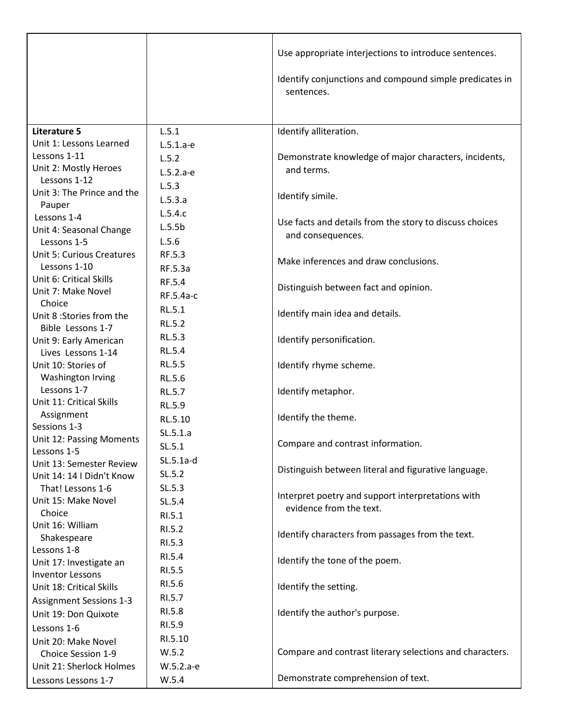|                                                     |               | Use appropriate interjections to introduce sentences.                        |
|-----------------------------------------------------|---------------|------------------------------------------------------------------------------|
|                                                     |               | Identify conjunctions and compound simple predicates in<br>sentences.        |
|                                                     |               |                                                                              |
| Literature 5                                        | L.5.1         | Identify alliteration.                                                       |
| Unit 1: Lessons Learned                             | $L.5.1.a-e$   |                                                                              |
| Lessons 1-11                                        | L.5.2         | Demonstrate knowledge of major characters, incidents,                        |
| Unit 2: Mostly Heroes<br>Lessons 1-12               | $L.5.2.a-e$   | and terms.                                                                   |
| Unit 3: The Prince and the                          | L.5.3         |                                                                              |
| Pauper                                              | L.5.3.a       | Identify simile.                                                             |
| Lessons 1-4                                         | L.5.4.c       |                                                                              |
| Unit 4: Seasonal Change                             | L.5.5b        | Use facts and details from the story to discuss choices                      |
| Lessons 1-5                                         | L.5.6         | and consequences.                                                            |
| <b>Unit 5: Curious Creatures</b>                    | RF.5.3        |                                                                              |
| Lessons 1-10                                        | RF.5.3a       | Make inferences and draw conclusions.                                        |
| Unit 6: Critical Skills                             | RF.5.4        |                                                                              |
| Unit 7: Make Novel                                  | RF.5.4a-c     | Distinguish between fact and opinion.                                        |
| Choice                                              | <b>RL.5.1</b> |                                                                              |
| Unit 8:Stories from the                             | RL.5.2        | Identify main idea and details.                                              |
| Bible Lessons 1-7                                   | RL.5.3        |                                                                              |
| Unit 9: Early American                              |               | Identify personification.                                                    |
| Lives Lessons 1-14                                  | RL.5.4        |                                                                              |
| Unit 10: Stories of                                 | RL.5.5        | Identify rhyme scheme.                                                       |
| Washington Irving<br>Lessons 1-7                    | RL.5.6        |                                                                              |
| Unit 11: Critical Skills                            | <b>RL.5.7</b> | Identify metaphor.                                                           |
| Assignment                                          | RL.5.9        |                                                                              |
| Sessions 1-3                                        | RL.5.10       | Identify the theme.                                                          |
| Unit 12: Passing Moments                            | SL.5.1.a      |                                                                              |
| Lessons 1-5                                         | SL.5.1        | Compare and contrast information.                                            |
| Unit 13: Semester Review                            | $SL.5.1a-d$   |                                                                              |
| Unit 14: 14   Didn't Know                           | SL.5.2        | Distinguish between literal and figurative language.                         |
| That! Lessons 1-6                                   | SL.5.3        |                                                                              |
| Unit 15: Make Novel                                 | SL.5.4        | Interpret poetry and support interpretations with<br>evidence from the text. |
| Choice                                              | RI.5.1        |                                                                              |
| Unit 16: William                                    | RI.5.2        |                                                                              |
| Shakespeare                                         | RI.5.3        | Identify characters from passages from the text.                             |
| Lessons 1-8                                         | RI.5.4        |                                                                              |
| Unit 17: Investigate an                             | RI.5.5        | Identify the tone of the poem.                                               |
| <b>Inventor Lessons</b><br>Unit 18: Critical Skills | RI.5.6        |                                                                              |
|                                                     | RI.5.7        | Identify the setting.                                                        |
| <b>Assignment Sessions 1-3</b>                      | RI.5.8        | Identify the author's purpose.                                               |
| Unit 19: Don Quixote                                | RI.5.9        |                                                                              |
| Lessons 1-6                                         | RI.5.10       |                                                                              |
| Unit 20: Make Novel                                 | W.5.2         | Compare and contrast literary selections and characters.                     |
| Choice Session 1-9                                  |               |                                                                              |
| Unit 21: Sherlock Holmes                            | W.5.2.a-e     | Demonstrate comprehension of text.                                           |
| Lessons Lessons 1-7                                 | W.5.4         |                                                                              |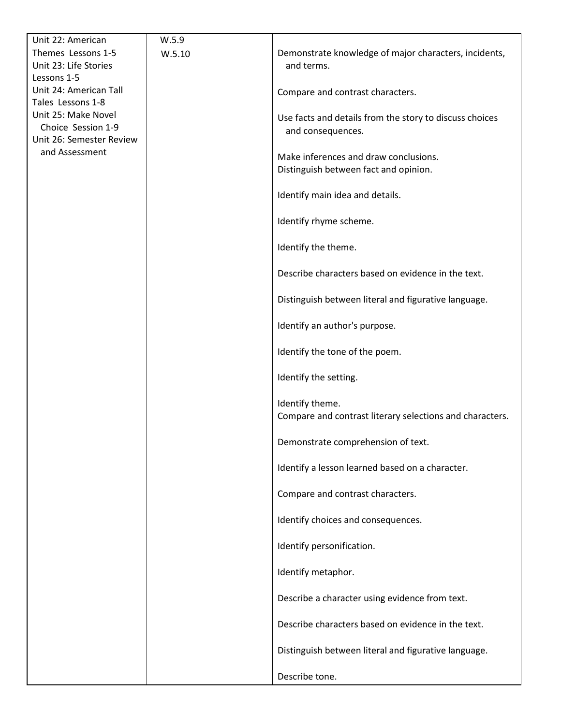| Unit 22: American                        | W.5.9  |                                                                                |
|------------------------------------------|--------|--------------------------------------------------------------------------------|
| Themes Lessons 1-5                       | W.5.10 | Demonstrate knowledge of major characters, incidents,                          |
| Unit 23: Life Stories                    |        | and terms.                                                                     |
| Lessons 1-5                              |        |                                                                                |
| Unit 24: American Tall                   |        | Compare and contrast characters.                                               |
| Tales Lessons 1-8<br>Unit 25: Make Novel |        |                                                                                |
| Choice Session 1-9                       |        | Use facts and details from the story to discuss choices                        |
| Unit 26: Semester Review                 |        | and consequences.                                                              |
| and Assessment                           |        |                                                                                |
|                                          |        | Make inferences and draw conclusions.<br>Distinguish between fact and opinion. |
|                                          |        |                                                                                |
|                                          |        | Identify main idea and details.                                                |
|                                          |        | Identify rhyme scheme.                                                         |
|                                          |        | Identify the theme.                                                            |
|                                          |        | Describe characters based on evidence in the text.                             |
|                                          |        | Distinguish between literal and figurative language.                           |
|                                          |        | Identify an author's purpose.                                                  |
|                                          |        | Identify the tone of the poem.                                                 |
|                                          |        | Identify the setting.                                                          |
|                                          |        | Identify theme.<br>Compare and contrast literary selections and characters.    |
|                                          |        | Demonstrate comprehension of text.                                             |
|                                          |        | Identify a lesson learned based on a character.                                |
|                                          |        | Compare and contrast characters.                                               |
|                                          |        | Identify choices and consequences.                                             |
|                                          |        | Identify personification.                                                      |
|                                          |        | Identify metaphor.                                                             |
|                                          |        | Describe a character using evidence from text.                                 |
|                                          |        | Describe characters based on evidence in the text.                             |
|                                          |        | Distinguish between literal and figurative language.                           |
|                                          |        | Describe tone.                                                                 |